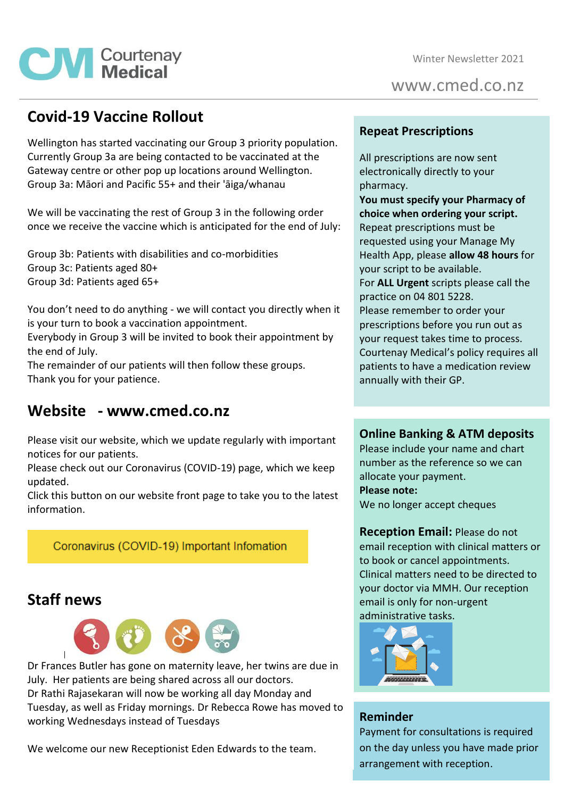

www.cmed.co.nz

## **Covid-19 Vaccine Rollout**

**CM** Courtenay

Wellington has started vaccinating our Group 3 priority population. Currently Group 3a are being contacted to be vaccinated at the Gateway centre or other pop up locations around Wellington. Group 3a: Māori and Pacific 55+ and their 'āiga/whanau

We will be vaccinating the rest of Group 3 in the following order once we receive the vaccine which is anticipated for the end of July:

Group 3b: Patients with disabilities and co-morbidities Group 3c: Patients aged 80+ Group 3d: Patients aged 65+

You don't need to do anything - we will contact you directly when it is your turn to book a vaccination appointment.

Everybody in Group 3 will be invited to book their appointment by the end of July.

The remainder of our patients will then follow these groups. Thank you for your patience.

## **Website - www.cmed.co.nz**

Please visit our website, which we update regularly with important notices for our patients.

Please check out our Coronavirus (COVID-19) page, which we keep updated.

Click this button on our website front page to take you to the latest information.

## Coronavirus (COVID-19) Important Infomation

## **Staff news**



Dr Frances Butler has gone on maternity leave, her twins are due in July. Her patients are being shared across all our doctors. Dr Rathi Rajasekaran will now be working all day Monday and Tuesday, as well as Friday mornings. Dr Rebecca Rowe has moved to working Wednesdays instead of Tuesdays

We welcome our new Receptionist Eden Edwards to the team.

### **Repeat Prescriptions**

All prescriptions are now sent electronically directly to your pharmacy.

**You must specify your Pharmacy of choice when ordering your script.** Repeat prescriptions must be requested using your Manage My Health App, please **allow 48 hours** for your script to be available. For **ALL Urgent** scripts please call the practice on 04 801 5228. Please remember to order your prescriptions before you run out as your request takes time to process. Courtenay Medical's policy requires all patients to have a medication review annually with their GP.

### **Online Banking & ATM deposits**

Please include your name and chart number as the reference so we can allocate your payment. **Please note:** We no longer accept cheques

**Reception Email:** Please do not email reception with clinical matters or to book or cancel appointments. Clinical matters need to be directed to your doctor via MMH. Our reception email is only for non-urgent administrative tasks.



### **Reminder**

Payment for consultations is required on the day unless you have made prior arrangement with reception.